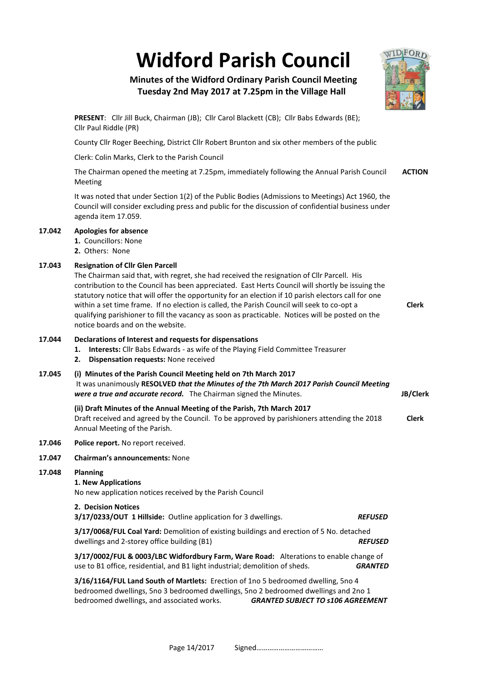**Widford Parish Council**

# **Minutes of the Widford Ordinary Parish Council Meeting Tuesday 2nd May 2017 at 7.25pm in the Village Hall**

**PRESENT**: Cllr Jill Buck, Chairman (JB); Cllr Carol Blackett (CB); Cllr Babs Edwards (BE); Cllr Paul Riddle (PR)

County Cllr Roger Beeching, District Cllr Robert Brunton and six other members of the public

Clerk: Colin Marks, Clerk to the Parish Council

The Chairman opened the meeting at 7.25pm, immediately following the Annual Parish Council Meeting **ACTION**

It was noted that under Section 1(2) of the Public Bodies (Admissions to Meetings) Act 1960, the Council will consider excluding press and public for the discussion of confidential business under agenda item 17.059.

## **17.042 Apologies for absence**

- **1.** Councillors: None
- **2.** Others: None

## **17.043 Resignation of Cllr Glen Parcell**

The Chairman said that, with regret, she had received the resignation of Cllr Parcell. His contribution to the Council has been appreciated. East Herts Council will shortly be issuing the statutory notice that will offer the opportunity for an election if 10 parish electors call for one within a set time frame. If no election is called, the Parish Council will seek to co-opt a qualifying parishioner to fill the vacancy as soon as practicable. Notices will be posted on the notice boards and on the website.

## **17.044 Declarations of Interest and requests for dispensations**

- **1. Interests:** Cllr Babs Edwards as wife of the Playing Field Committee Treasurer
- **2. Dispensation requests:** None received

## **17.045 (i) Minutes of the Parish Council Meeting held on 7th March 2017**

It was unanimously **RESOLVED** *that the Minutes of the 7th March 2017 Parish Council Meeting were a true and accurate record.* The Chairman signed the Minutes.

## **(ii) Draft Minutes of the Annual Meeting of the Parish, 7th March 2017**

Draft received and agreed by the Council. To be approved by parishioners attending the 2018 Annual Meeting of the Parish. **Clerk**

#### **17.046 Police report.** No report received.

#### **17.047 Chairman's announcements:** None

#### **17.048 Planning**

**1. New Applications**

No new application notices received by the Parish Council

# **2. Decision Notices**

**3/17/0233/OUT 1 Hillside:** Outline application for 3 dwellings. *REFUSED*

**3/17/0068/FUL Coal Yard:** Demolition of existing buildings and erection of 5 No. detached dwellings and 2-storey office building (B1) *REFUSED*

**3/17/0002/FUL & 0003/LBC Widfordbury Farm, Ware Road:** Alterations to enable change of use to B1 office, residential, and B1 light industrial; demolition of sheds. *GRANTED*

**3/16/1164/FUL Land South of Martlets:** Erection of 1no 5 bedroomed dwelling, 5no 4 bedroomed dwellings, 5no 3 bedroomed dwellings, 5no 2 bedroomed dwellings and 2no 1 bedroomed dwellings, and associated works. *GRANTED SUBJECT TO s106 AGREEMENT* 

Page 14/2017 Signed………………………………



**Clerk**

**JB/Clerk**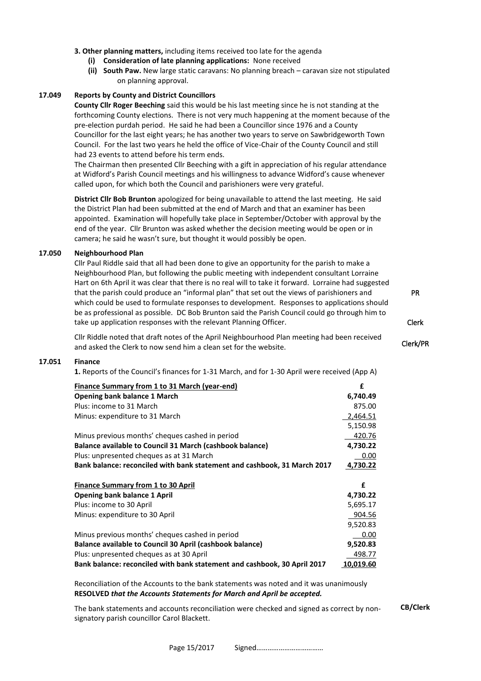- **3. Other planning matters,** including items received too late for the agenda
	- **(i) Consideration of late planning applications:** None received
	- **(ii) South Paw.** New large static caravans: No planning breach caravan size not stipulated on planning approval.

## **17.049 Reports by County and District Councillors**

**County Cllr Roger Beeching** said this would be his last meeting since he is not standing at the forthcoming County elections. There is not very much happening at the moment because of the pre-election purdah period. He said he had been a Councillor since 1976 and a County Councillor for the last eight years; he has another two years to serve on Sawbridgeworth Town Council. For the last two years he held the office of Vice-Chair of the County Council and still had 23 events to attend before his term ends.

The Chairman then presented Cllr Beeching with a gift in appreciation of his regular attendance at Widford's Parish Council meetings and his willingness to advance Widford's cause whenever called upon, for which both the Council and parishioners were very grateful.

**District Cllr Bob Brunton** apologized for being unavailable to attend the last meeting. He said the District Plan had been submitted at the end of March and that an examiner has been appointed. Examination will hopefully take place in September/October with approval by the end of the year. Cllr Brunton was asked whether the decision meeting would be open or in camera; he said he wasn't sure, but thought it would possibly be open.

## **17.050 Neighbourhood Plan**

Cllr Paul Riddle said that all had been done to give an opportunity for the parish to make a Neighbourhood Plan, but following the public meeting with independent consultant Lorraine Hart on 6th April it was clear that there is no real will to take it forward. Lorraine had suggested that the parish could produce an "informal plan" that set out the views of parishioners and which could be used to formulate responses to development. Responses to applications should be as professional as possible. DC Bob Brunton said the Parish Council could go through him to take up application responses with the relevant Planning Officer.

Cllr Riddle noted that draft notes of the April Neighbourhood Plan meeting had been received and asked the Clerk to now send him a clean set for the website.

#### **17.051 Finance**

**1.** Reports of the Council's finances for 1-31 March, and for 1-30 April were received (App A)

| Finance Summary from 1 to 31 March (year-end)                            | £         |
|--------------------------------------------------------------------------|-----------|
| Opening bank balance 1 March                                             | 6,740.49  |
| Plus: income to 31 March                                                 | 875.00    |
| Minus: expenditure to 31 March                                           | 2,464.51  |
|                                                                          | 5,150.98  |
| Minus previous months' cheques cashed in period                          | 420.76    |
| Balance available to Council 31 March (cashbook balance)                 | 4,730.22  |
| Plus: unpresented cheques as at 31 March                                 | 0.00      |
| Bank balance: reconciled with bank statement and cashbook, 31 March 2017 | 4,730.22  |
| <b>Finance Summary from 1 to 30 April</b>                                | £         |
| <b>Opening bank balance 1 April</b>                                      | 4,730.22  |
| Plus: income to 30 April                                                 | 5,695.17  |
| Minus: expenditure to 30 April                                           | 904.56    |
|                                                                          | 9,520.83  |
| Minus previous months' cheques cashed in period                          | 0.00      |
| Balance available to Council 30 April (cashbook balance)                 | 9,520.83  |
| Plus: unpresented cheques as at 30 April                                 | 498.77    |
| Bank balance: reconciled with bank statement and cashbook. 30 April 2017 | 10.019.60 |

Reconciliation of the Accounts to the bank statements was noted and it was unanimously **RESOLVED** *that the Accounts Statements for March and April be accepted.*

The bank statements and accounts reconciliation were checked and signed as correct by nonsignatory parish councillor Carol Blackett.

**CB/Clerk**

PR

Clerk

Clerk/PR

Page 15/2017 Signed………………………………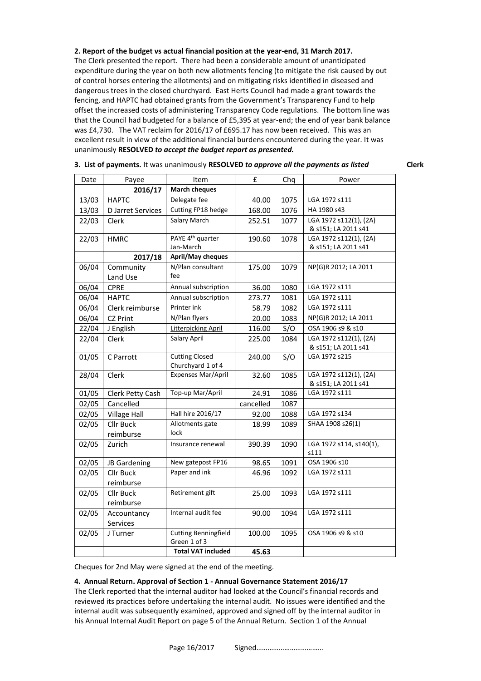#### **2. Report of the budget vs actual financial position at the year-end, 31 March 2017.**

The Clerk presented the report. There had been a considerable amount of unanticipated expenditure during the year on both new allotments fencing (to mitigate the risk caused by out of control horses entering the allotments) and on mitigating risks identified in diseased and dangerous trees in the closed churchyard. East Herts Council had made a grant towards the fencing, and HAPTC had obtained grants from the Government's Transparency Fund to help offset the increased costs of administering Transparency Code regulations. The bottom line was that the Council had budgeted for a balance of £5,395 at year-end; the end of year bank balance was £4,730. The VAT reclaim for 2016/17 of £695.17 has now been received. This was an excellent result in view of the additional financial burdens encountered during the year. It was unanimously **RESOLVED** *to accept the budget report as presented.*

| Date  | Payee               | Item                                        | £         | Chq  | Power                   |
|-------|---------------------|---------------------------------------------|-----------|------|-------------------------|
|       | 2016/17             | <b>March cheques</b>                        |           |      |                         |
| 13/03 | <b>HAPTC</b>        | Delegate fee                                | 40.00     | 1075 | LGA 1972 s111           |
| 13/03 | D Jarret Services   | Cutting FP18 hedge                          | 168.00    | 1076 | HA 1980 s43             |
| 22/03 | Clerk               | Salary March                                | 252.51    | 1077 | LGA 1972 s112(1), (2A)  |
|       |                     |                                             |           |      | & s151; LA 2011 s41     |
| 22/03 | <b>HMRC</b>         | PAYE 4 <sup>th</sup> quarter                | 190.60    | 1078 | LGA 1972 s112(1), (2A)  |
|       |                     | Jan-March                                   |           |      | & s151; LA 2011 s41     |
|       | 2017/18             | April/May cheques                           |           |      |                         |
| 06/04 | Community           | N/Plan consultant                           | 175.00    | 1079 | NP(G)R 2012; LA 2011    |
|       | Land Use            | fee                                         |           |      |                         |
| 06/04 | <b>CPRE</b>         | Annual subscription                         | 36.00     | 1080 | LGA 1972 s111           |
| 06/04 | <b>HAPTC</b>        | Annual subscription                         | 273.77    | 1081 | LGA 1972 s111           |
| 06/04 | Clerk reimburse     | Printer ink                                 | 58.79     | 1082 | LGA 1972 s111           |
| 06/04 | <b>CZ Print</b>     | N/Plan flyers                               | 20.00     | 1083 | NP(G)R 2012; LA 2011    |
| 22/04 | J English           | <b>Litterpicking April</b>                  | 116.00    | S/O  | OSA 1906 s9 & s10       |
| 22/04 | Clerk               | Salary April                                | 225.00    | 1084 | LGA 1972 s112(1), (2A)  |
|       |                     |                                             |           |      | & s151; LA 2011 s41     |
| 01/05 | C Parrott           | <b>Cutting Closed</b><br>Churchyard 1 of 4  | 240.00    | S/O  | LGA 1972 s215           |
| 28/04 | Clerk               | Expenses Mar/April                          | 32.60     | 1085 | LGA 1972 s112(1), (2A)  |
|       |                     |                                             |           |      | & s151; LA 2011 s41     |
| 01/05 | Clerk Petty Cash    | Top-up Mar/April                            | 24.91     | 1086 | LGA 1972 s111           |
| 02/05 | Cancelled           |                                             | cancelled | 1087 |                         |
| 02/05 | <b>Village Hall</b> | Hall hire 2016/17                           | 92.00     | 1088 | LGA 1972 s134           |
| 02/05 | <b>Cllr Buck</b>    | Allotments gate                             | 18.99     | 1089 | SHAA 1908 s26(1)        |
|       | reimburse           | lock                                        |           |      |                         |
| 02/05 | Zurich              | Insurance renewal                           | 390.39    | 1090 | LGA 1972 s114, s140(1), |
|       |                     |                                             |           |      | s111                    |
| 02/05 | JB Gardening        | New gatepost FP16                           | 98.65     | 1091 | OSA 1906 s10            |
| 02/05 | <b>Cllr Buck</b>    | Paper and ink                               | 46.96     | 1092 | LGA 1972 s111           |
|       | reimburse           |                                             |           |      |                         |
| 02/05 | <b>Cllr Buck</b>    | Retirement gift                             | 25.00     | 1093 | LGA 1972 s111           |
|       | reimburse           |                                             |           |      |                         |
| 02/05 | Accountancy         | Internal audit fee                          | 90.00     | 1094 | LGA 1972 s111           |
|       | Services            |                                             |           |      |                         |
| 02/05 | J Turner            | <b>Cutting Benningfield</b><br>Green 1 of 3 | 100.00    | 1095 | OSA 1906 s9 & s10       |
|       |                     | <b>Total VAT included</b>                   | 45.63     |      |                         |

**3. List of payments.** It was unanimously **RESOLVED** *to approve all the payments as listed* **Clerk**

Cheques for 2nd May were signed at the end of the meeting.

#### **4. Annual Return. Approval of Section 1 - Annual Governance Statement 2016/17**

The Clerk reported that the internal auditor had looked at the Council's financial records and reviewed its practices before undertaking the internal audit. No issues were identified and the internal audit was subsequently examined, approved and signed off by the internal auditor in his Annual Internal Audit Report on page 5 of the Annual Return. Section 1 of the Annual

Page 16/2017 Signed………………………………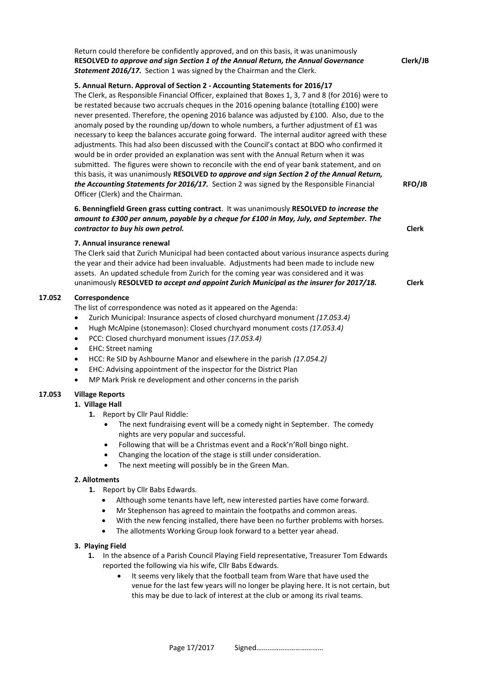Return could therefore be confidently approved, and on this basis, it was unanimously **RESOLVED** *to approve and sign Section 1 of the Annual Return, the Annual Governance Statement 2016/17.* Section 1 was signed by the Chairman and the Clerk. **Clerk/JB 5. Annual Return. Approval of Section 2 - Accounting Statements for 2016/17** The Clerk, as Responsible Financial Officer, explained that Boxes 1, 3, 7 and 8 (for 2016) were to be restated because two accruals cheques in the 2016 opening balance (totalling £100) were never presented. Therefore, the opening 2016 balance was adjusted by £100. Also, due to the anomaly posed by the rounding up/down to whole numbers, a further adjustment of £1 was necessary to keep the balances accurate going forward. The internal auditor agreed with these adjustments. This had also been discussed with the Council's contact at BDO who confirmed it would be in order provided an explanation was sent with the Annual Return when it was submitted. The figures were shown to reconcile with the end of year bank statement, and on this basis, it was unanimously **RESOLVED** *to approve and sign Section 2 of the Annual Return,*  the Accounting Statements for 2016/17. Section 2 was signed by the Responsible Financial Officer (Clerk) and the Chairman. **RFO/JB 6. Benningfield Green grass cutting contract**. It was unanimously **RESOLVED** *to increase the amount to £300 per annum, payable by a cheque for £100 in May, July, and September. The contractor to buy his own petrol.* **Clerk 7. Annual insurance renewal** The Clerk said that Zurich Municipal had been contacted about various insurance aspects during the year and their advice had been invaluable. Adjustments had been made to include new assets. An updated schedule from Zurich for the coming year was considered and it was unanimously **RESOLVED** *to accept and appoint Zurich Municipal as the insurer for 2017/18.* **Clerk 17.052 Correspondence** The list of correspondence was noted as it appeared on the Agenda: • Zurich Municipal: Insurance aspects of closed churchyard monument *(17.053.4)* • Hugh McAlpine (stonemason): Closed churchyard monument costs *(17.053.4)* • PCC: Closed churchyard monument issues *(17.053.4)* • EHC: Street naming • HCC: Re SID by Ashbourne Manor and elsewhere in the parish *(17.054.2)* • EHC: Advising appointment of the inspector for the District Plan • MP Mark Prisk re development and other concerns in the parish **17.053 Village Reports 1. Village Hall 1.** Report by Cllr Paul Riddle: The next fundraising event will be a comedy night in September. The comedy nights are very popular and successful. • Following that will be a Christmas event and a Rock'n'Roll bingo night. • Changing the location of the stage is still under consideration. The next meeting will possibly be in the Green Man. **2. Allotments 1.** Report by Cllr Babs Edwards. • Although some tenants have left, new interested parties have come forward. • Mr Stephenson has agreed to maintain the footpaths and common areas. With the new fencing installed, there have been no further problems with horses. The allotments Working Group look forward to a better year ahead. **3. Playing Field 1.** In the absence of a Parish Council Playing Field representative, Treasurer Tom Edwards reported the following via his wife, Cllr Babs Edwards. It seems very likely that the football team from Ware that have used the venue for the last few years will no longer be playing here. It is not certain, but this may be due to lack of interest at the club or among its rival teams.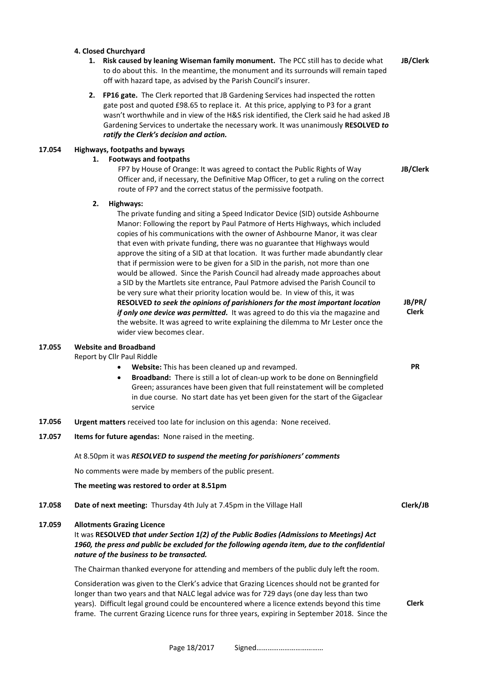#### **4. Closed Churchyard**

- **1. Risk caused by leaning Wiseman family monument.** The PCC still has to decide what to do about this. In the meantime, the monument and its surrounds will remain taped off with hazard tape, as advised by the Parish Council's insurer. **JB/Clerk**
- **2. FP16 gate.** The Clerk reported that JB Gardening Services had inspected the rotten gate post and quoted £98.65 to replace it. At this price, applying to P3 for a grant wasn't worthwhile and in view of the H&S risk identified, the Clerk said he had asked JB Gardening Services to undertake the necessary work. It was unanimously **RESOLVED** *to ratify the Clerk's decision and action.*

## **17.054 Highways, footpaths and byways**

## **1. Footways and footpaths**

FP7 by House of Orange: It was agreed to contact the Public Rights of Way Officer and, if necessary, the Definitive Map Officer, to get a ruling on the correct route of FP7 and the correct status of the permissive footpath. **JB/Clerk**

#### **2. Highways:**

The private funding and siting a Speed Indicator Device (SID) outside Ashbourne Manor: Following the report by Paul Patmore of Herts Highways, which included copies of his communications with the owner of Ashbourne Manor, it was clear that even with private funding, there was no guarantee that Highways would approve the siting of a SID at that location. It was further made abundantly clear that if permission were to be given for a SID in the parish, not more than one would be allowed. Since the Parish Council had already made approaches about a SID by the Martlets site entrance, Paul Patmore advised the Parish Council to be very sure what their priority location would be. In view of this, it was **RESOLVED** *to seek the opinions of parishioners for the most important location if only one device was permitted.* It was agreed to do this via the magazine and the website. It was agreed to write explaining the dilemma to Mr Lester once the wider view becomes clear. **JB/PR/**

#### **17.055 Website and Broadband**

Report by Cllr Paul Riddle

- **Website:** This has been cleaned up and revamped.
- **Broadband:** There is still a lot of clean-up work to be done on Benningfield Green; assurances have been given that full reinstatement will be completed in due course. No start date has yet been given for the start of the Gigaclear service
- **17.056 Urgent matters** received too late for inclusion on this agenda: None received.
- **17.057 Items for future agendas:** None raised in the meeting.

#### At 8.50pm it was *RESOLVED to suspend the meeting for parishioners' comments*

No comments were made by members of the public present.

## **The meeting was restored to order at 8.51pm**

**17.058 Date of next meeting:** Thursday 4th July at 7.45pm in the Village Hall **Clerk/JB** 

## **17.059 Allotments Grazing Licence**

It was **RESOLVED** *that under Section 1(2) of the Public Bodies (Admissions to Meetings) Act* 1960, the press and public be excluded for the following agenda item, due to the confidential *nature of the business to be transacted.*

The Chairman thanked everyone for attending and members of the public duly left the room.

Consideration was given to the Clerk's advice that Grazing Licences should not be granted for longer than two years and that NALC legal advice was for 729 days (one day less than two years). Difficult legal ground could be encountered where a licence extends beyond this time frame. The current Grazing Licence runs for three years, expiring in September 2018. Since the

**Clerk**

**Clerk**

**PR**

Page 18/2017 Signed………………………………